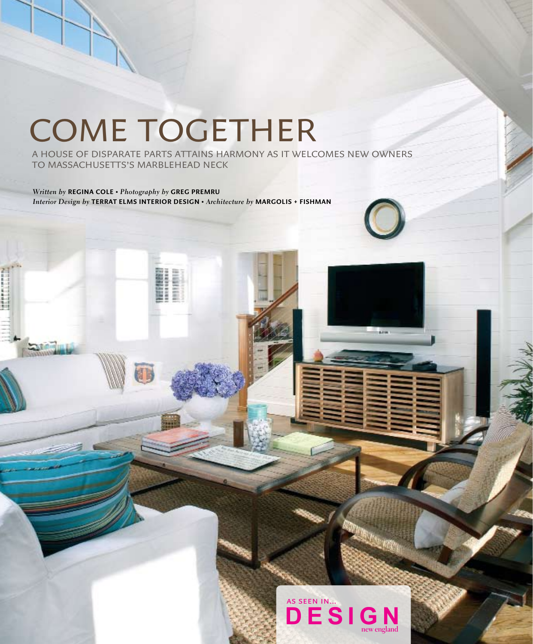## come together

a house of disparate parts attains harmony as it welcomes new owners to massachusetts's marblehead neck

*Written by* **regina cole •** *Photography by* **greg premru**  *Interior Design by* **terrat Elms interior design •** *Architecture by* **margolis + fishman**

**106** design new england • september/october 2008

## as seen in… DESI<sub>new england</sub>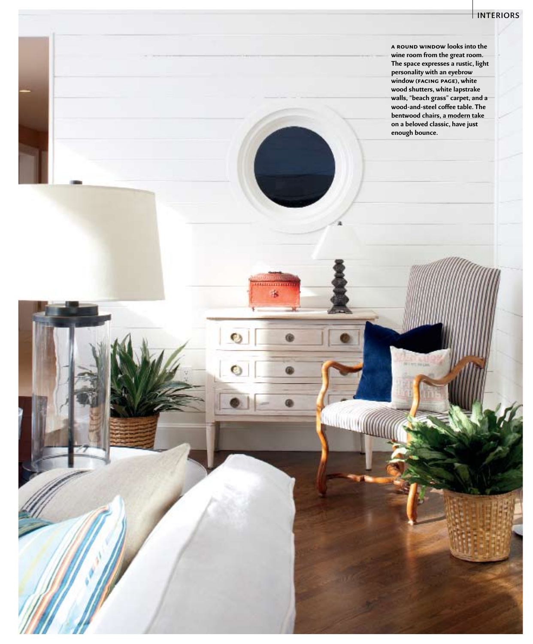**a round window looks into the wine room from the great room. The space expresses a rustic, light personality with an eyebrow window (facing page), white wood shutters, white lapstrake walls, "beach grass" carpet, and a wood-and-steel coffee table. The bentwood chairs, a modern take on a beloved classic, have just enough bounce.** 

*<u>ATTITUDIEN</u>* K

C۸

**Ipis nonsed duisi tie conse dit nos dolummo lorero doloboreet ero ex**  et au tat am de la corpe de la corpe de la corpe de la corpe de la corpe de la corp **euisciliscip enisi. Incilis alit ercil dionum zz rillu ptat lore tet dolore del utat ullamcore dunt wisciliquis** 

**nulput velismolenit ut at Cumsandipsum nos adiametum dolor sendio exeriureet lorperilit acinim z zr it null a ad diam at,**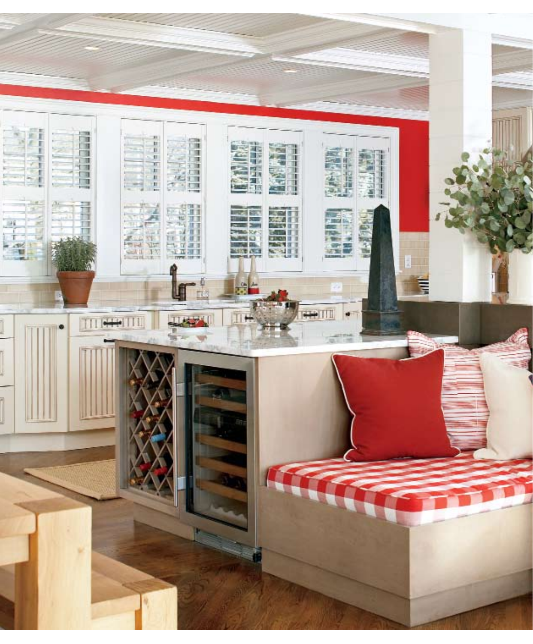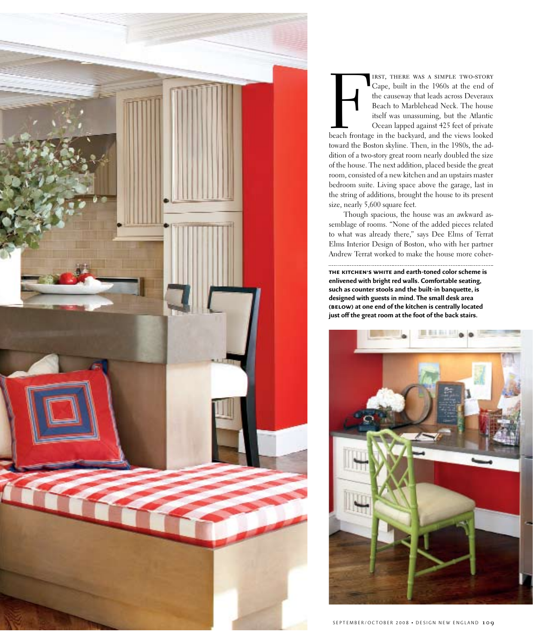

IRST, THERE WAS A SIMPLE TWO-STORY<br>Cape, built in the 1960s at the end of<br>the causeway that leads across Deveraux<br>Beach to Marblehead Neck. The house<br>itself was unassuming, but the Atlantic<br>Ocean lapped against 425 feet of irst, there was a simple two-story Cape, built in the 1960s at the end of the causeway that leads across Deveraux Beach to Marblehead Neck. The house itself was unassuming, but the Atlantic Ocean lapped against 425 feet of private

toward the Boston skyline. Then, in the 1980s, the addition of a two-story great room nearly doubled the size of the house. The next addition, placed beside the great room, consisted of a new kitchen and an upstairs master bedroom suite. Living space above the garage, last in the string of additions, brought the house to its present size, nearly 5,600 square feet.

Though spacious, the house was an awkward assemblage of rooms. "None of the added pieces related to what was already there," says Dee Elms of Terrat Elms Interior Design of Boston, who with her partner Andrew Terrat worked to make the house more coher-

**the kitchen's white and earth-toned color scheme is enlivened with bright red walls. Comfortable seating, such as counter stools and the built-in banquette, is designed with guests in mind. The small desk area (below) at one end of the kitchen is centrally located just off the great room at the foot of the back stairs.** 

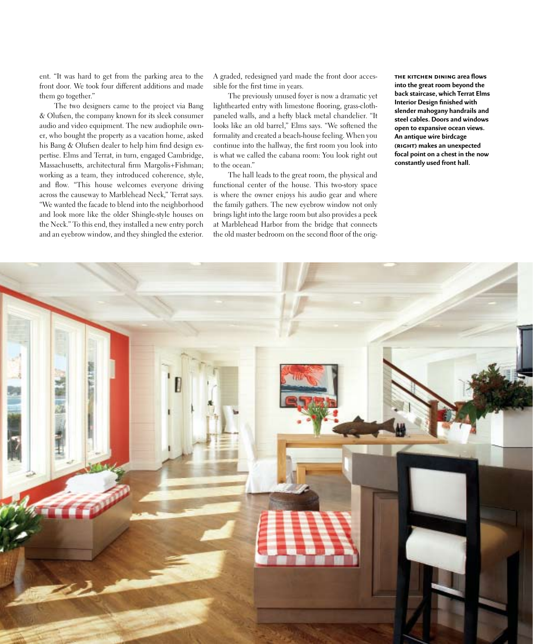ent. "It was hard to get from the parking area to the front door. We took four different additions and made them go together."

The two designers came to the project via Bang & Olufsen, the company known for its sleek consumer audio and video equipment. The new audiophile owner, who bought the property as a vacation home, asked his Bang & Olufsen dealer to help him find design expertise. Elms and Terrat, in turn, engaged Cambridge, Massachusetts, architectural firm Margolis+Fishman; working as a team, they introduced coherence, style, and flow. "This house welcomes everyone driving across the causeway to Marblehead Neck," Terrat says. "We wanted the facade to blend into the neighborhood and look more like the older Shingle-style houses on the Neck." To this end, they installed a new entry porch and an eyebrow window, and they shingled the exterior. A graded, redesigned yard made the front door accessible for the first time in years.

The previously unused foyer is now a dramatic yet lighthearted entry with limestone flooring, grass-clothpaneled walls, and a hefty black metal chandelier. "It looks like an old barrel," Elms says. "We softened the formality and created a beach-house feeling. When you continue into the hallway, the first room you look into is what we called the cabana room: You look right out to the ocean."

The hall leads to the great room, the physical and functional center of the house. This two-story space is where the owner enjoys his audio gear and where the family gathers. The new eyebrow window not only brings light into the large room but also provides a peek at Marblehead Harbor from the bridge that connects the old master bedroom on the second floor of the orig**the kitchen dining area flows into the great room beyond the back staircase, which Terrat Elms Interior Design finished with slender mahogany handrails and steel cables. Doors and windows open to expansive ocean views. An antique wire birdcage (right) makes an unexpected focal point on a chest in the now constantly used front hall.** 

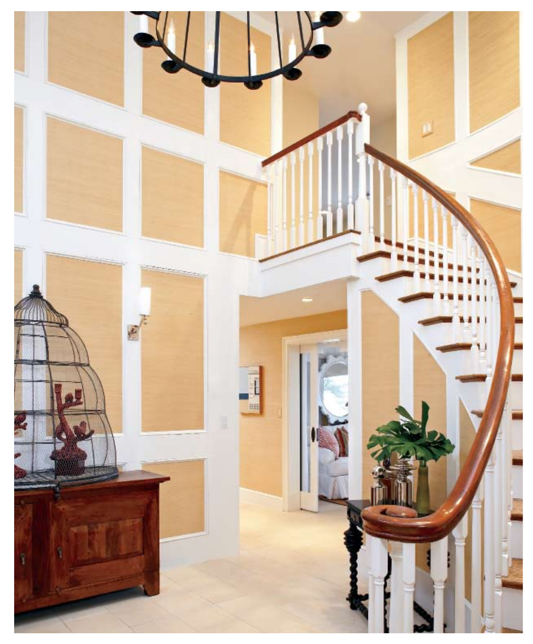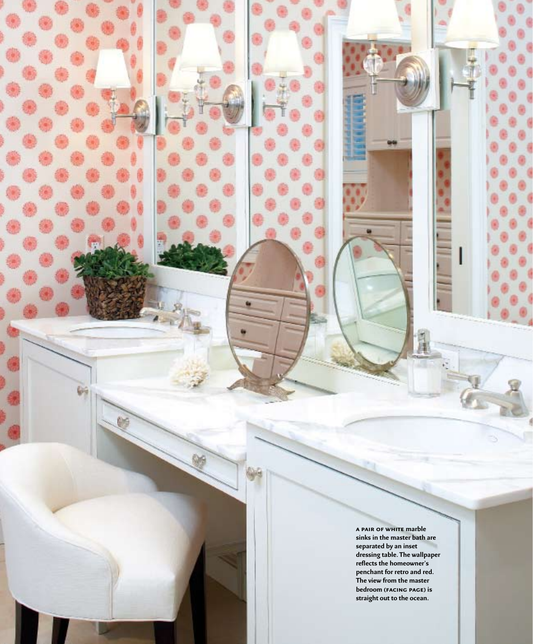**a pair of white marble sinks in the master bath are separated by an inset dressing table. The wallpaper reflects the homeowner's penchant for retro and red. The view from the master bedroom (facing page) is straight out to the ocean.** 

12**2 112 122 122 122 122 122 122**